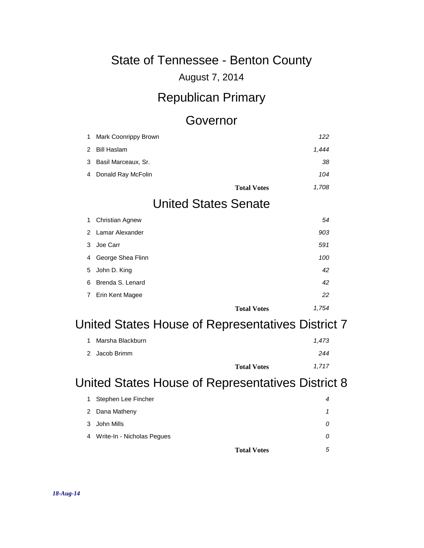#### August 7, 2014

#### Republican Primary

#### Governor

| 1 | Mark Coonrippy Brown        | 122   |
|---|-----------------------------|-------|
| 2 | <b>Bill Haslam</b>          | 1,444 |
| 3 | Basil Marceaux, Sr.         | 38    |
| 4 | Donald Ray McFolin          | 104   |
|   | <b>Total Votes</b>          | 1,708 |
|   | <b>United States Senate</b> |       |
| 1 | <b>Christian Agnew</b>      | 54    |
| 2 | Lamar Alexander             | 903   |
| 3 | Joe Carr                    | 591   |
| 4 | George Shea Flinn           | 100   |
| 5 | John D. King                | 42    |
| 6 | Brenda S. Lenard            | 42    |
| 7 | Erin Kent Magee             | 22    |
|   | <b>Total Votes</b>          | 1,754 |

## United States House of Representatives District 7

| 1 Marsha Blackburn |                    | 1.473 |
|--------------------|--------------------|-------|
| 2 Jacob Brimm      |                    | 244   |
|                    | <b>Total Votes</b> | 1.717 |

#### United States House of Representatives District 8

|   | <b>Total Votes</b>         | 5 |
|---|----------------------------|---|
| 4 | Write-In - Nicholas Pegues |   |
|   | 3 John Mills               | 0 |
|   | 2 Dana Matheny             |   |
|   | 1 Stephen Lee Fincher      | 4 |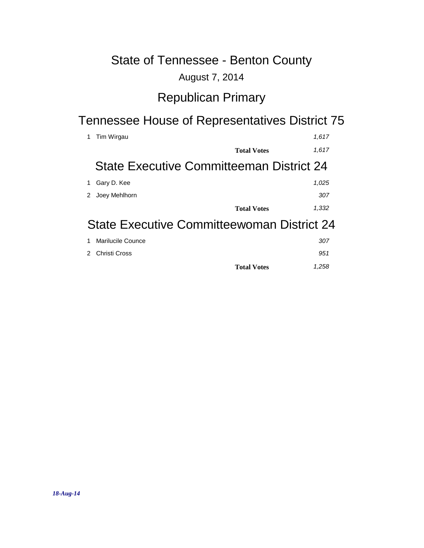#### August 7, 2014

### Republican Primary

## Tennessee House of Representatives District 75

|   | Tim Wirgau                                        | 1,617 |
|---|---------------------------------------------------|-------|
|   | <b>Total Votes</b>                                | 1,617 |
|   | State Executive Committeeman District 24          |       |
|   | Gary D. Kee                                       | 1,025 |
| 2 | Joey Mehlhorn                                     | 307   |
|   | <b>Total Votes</b>                                | 1,332 |
|   | <b>State Executive Committeewoman District 24</b> |       |
|   | Marilucile Counce                                 | 307   |
|   | Christi Cross                                     | 951   |

**Total Votes** *1,258*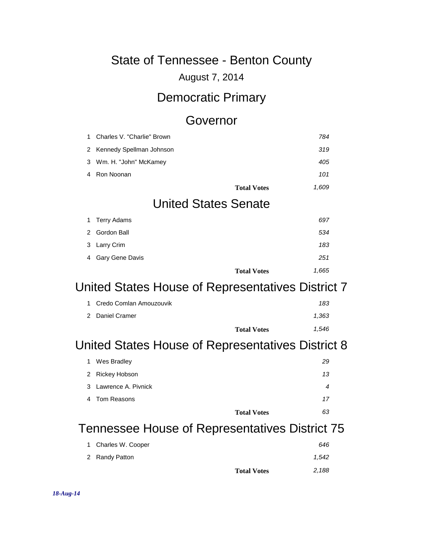August 7, 2014

### Democratic Primary

#### Governor

| 1 | Charles V. "Charlie" Brown                        |                    | 784   |
|---|---------------------------------------------------|--------------------|-------|
| 2 | Kennedy Spellman Johnson                          |                    | 319   |
| 3 | Wm. H. "John" McKamey                             |                    | 405   |
| 4 | Ron Noonan                                        |                    | 101   |
|   |                                                   | <b>Total Votes</b> | 1,609 |
|   | <b>United States Senate</b>                       |                    |       |
| 1 | <b>Terry Adams</b>                                |                    | 697   |
| 2 | Gordon Ball                                       |                    | 534   |
| 3 | Larry Crim                                        |                    | 183   |
| 4 | Gary Gene Davis                                   |                    | 251   |
|   |                                                   | <b>Total Votes</b> | 1,665 |
|   | United States House of Representatives District 7 |                    |       |
| 1 | Credo Comlan Amouzouvik                           |                    | 183   |
| 2 | Daniel Cramer                                     |                    | 1,363 |
|   |                                                   | <b>Total Votes</b> | 1,546 |
|   | United States House of Representatives District 8 |                    |       |
| 1 | Wes Bradley                                       |                    | 29    |
| 2 | Rickey Hobson                                     |                    | 13    |
| 3 | Lawrence A. Pivnick                               |                    | 4     |
| 4 | <b>Tom Reasons</b>                                |                    | 17    |
|   |                                                   |                    | 63    |
|   |                                                   | <b>Total Votes</b> |       |

## Tennessee House of Representatives District 75

| 1 Charles W. Cooper |                    | 646   |
|---------------------|--------------------|-------|
| 2 Randy Patton      |                    | 1.542 |
|                     | <b>Total Votes</b> | 2,188 |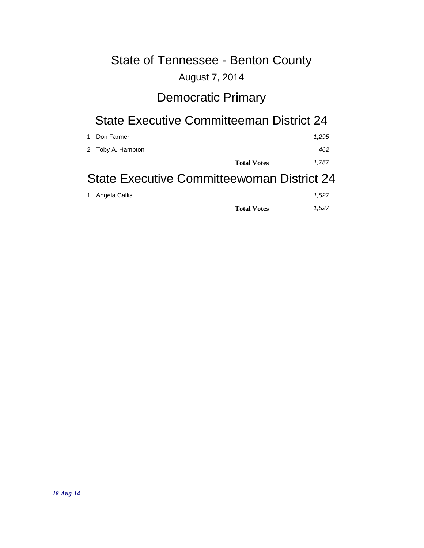#### August 7, 2014

## Democratic Primary

#### State Executive Committeeman District 24

| Don Farmer<br>$\overline{1}$               |                    | 1.295 |  |
|--------------------------------------------|--------------------|-------|--|
| 2 Toby A. Hampton                          |                    | 462   |  |
|                                            | <b>Total Votes</b> | 1.757 |  |
| State Executive Committeewoman District 24 |                    |       |  |

| 1 Angela Callis |                    | 1.527 |
|-----------------|--------------------|-------|
|                 | <b>Total Votes</b> | 1.527 |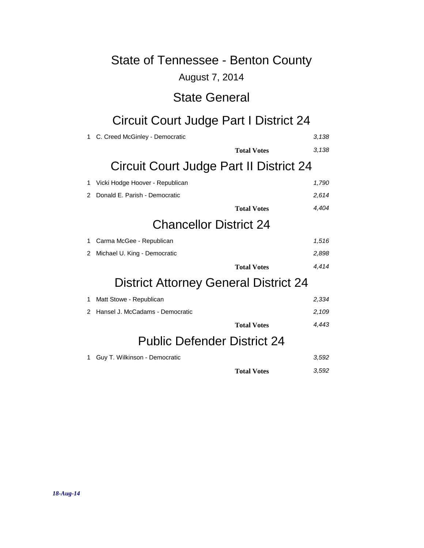#### August 7, 2014

#### State General

# Circuit Court Judge Part I District 24

| 1.             | C. Creed McGinley - Democratic               | 3,138 |
|----------------|----------------------------------------------|-------|
|                | <b>Total Votes</b>                           | 3,138 |
|                | Circuit Court Judge Part II District 24      |       |
| 1              | Vicki Hodge Hoover - Republican              | 1,790 |
| $\mathcal{P}$  | Donald E. Parish - Democratic                | 2,614 |
|                | <b>Total Votes</b>                           | 4,404 |
|                | <b>Chancellor District 24</b>                |       |
| 1              | Carma McGee - Republican                     | 1,516 |
| $\overline{2}$ | Michael U. King - Democratic                 | 2,898 |
|                | <b>Total Votes</b>                           | 4.414 |
|                | <b>District Attorney General District 24</b> |       |
| 1              | Matt Stowe - Republican                      | 2,334 |
| 2              | Hansel J. McCadams - Democratic              | 2,109 |
|                | <b>Total Votes</b>                           | 4.443 |
|                | <b>Public Defender District 24</b>           |       |
| 1              | Guy T. Wilkinson - Democratic                | 3,592 |
|                | <b>Total Votes</b>                           | 3,592 |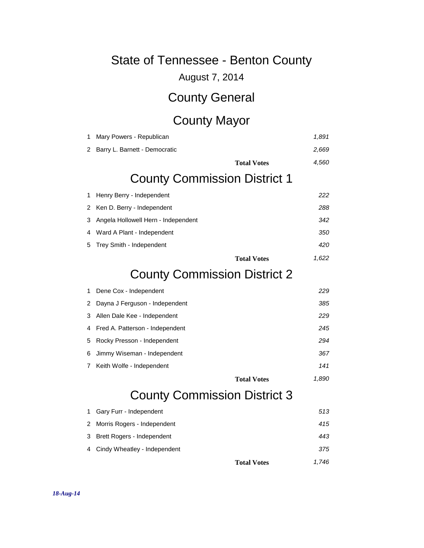August 7, 2014

### County General

## County Mayor

| 1 | Mary Powers - Republican            | 1,891 |
|---|-------------------------------------|-------|
| 2 | Barry L. Barnett - Democratic       | 2,669 |
|   | <b>Total Votes</b>                  | 4,560 |
|   | <b>County Commission District 1</b> |       |
| 1 | Henry Berry - Independent           | 222   |
| 2 | Ken D. Berry - Independent          | 288   |
| 3 | Angela Hollowell Hern - Independent | 342   |
| 4 | Ward A Plant - Independent          | 350   |
| 5 | Trey Smith - Independent            | 420   |
|   | <b>Total Votes</b>                  | 1,622 |
|   | <b>County Commission District 2</b> |       |
| 1 | Dene Cox - Independent              | 229   |
| 2 | Dayna J Ferguson - Independent      | 385   |
| 3 | Allen Dale Kee - Independent        | 229   |
| 4 | Fred A. Patterson - Independent     | 245   |
| 5 | Rocky Presson - Independent         | 294   |
| 6 | Jimmy Wiseman - Independent         | 367   |
| 7 | Keith Wolfe - Independent           | 141   |
|   | <b>Total Votes</b>                  | 1,890 |
|   | <b>County Commission District 3</b> |       |
| 1 | Gary Furr - Independent             | 513   |
| 2 | Morris Rogers - Independent         | 415   |
| 3 | Brett Rogers - Independent          | 443   |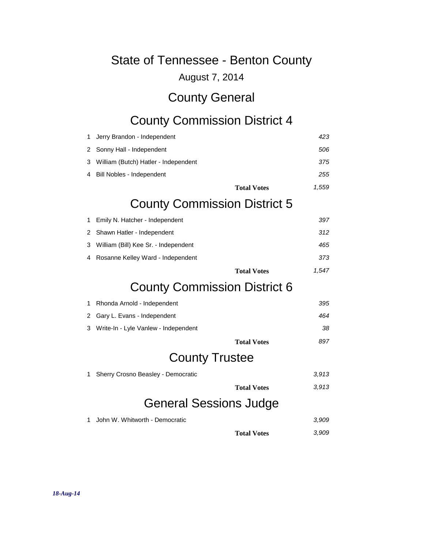August 7, 2014

## County General

# County Commission District 4

| 1 | Jerry Brandon - Independent          | 423   |
|---|--------------------------------------|-------|
| 2 | Sonny Hall - Independent             | 506   |
| 3 | William (Butch) Hatler - Independent | 375   |
| 4 | Bill Nobles - Independent            | 255   |
|   | <b>Total Votes</b>                   | 1,559 |
|   | <b>County Commission District 5</b>  |       |
| 1 | Emily N. Hatcher - Independent       | 397   |
| 2 | Shawn Hatler - Independent           | 312   |
| З | William (Bill) Kee Sr. - Independent | 465   |
| 4 | Rosanne Kelley Ward - Independent    | 373   |
|   | <b>Total Votes</b>                   | 1,547 |
|   | <b>County Commission District 6</b>  |       |
| 1 | Rhonda Arnold - Independent          | 395   |
| 2 | Gary L. Evans - Independent          | 464   |
| 3 | Write-In - Lyle Vanlew - Independent | 38    |
|   | <b>Total Votes</b>                   | 897   |
|   | <b>County Trustee</b>                |       |
| 1 | Sherry Crosno Beasley - Democratic   | 3,913 |
|   | <b>Total Votes</b>                   | 3,913 |
|   | General Sessions Judge               |       |
| 1 | John W. Whitworth - Democratic       | 3,909 |
|   | <b>Total Votes</b>                   | 3,909 |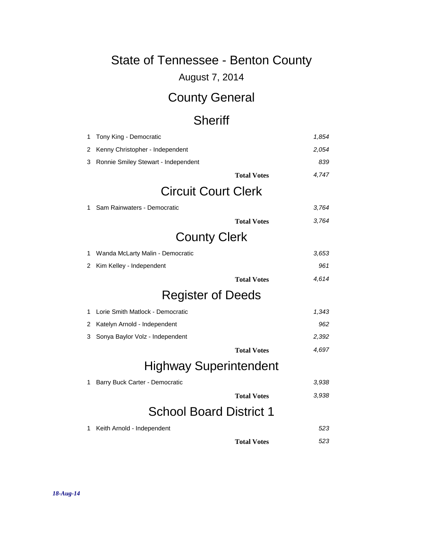August 7, 2014

# County General

### **Sheriff**

| 1 | Tony King - Democratic              | 1,854                       |  |  |
|---|-------------------------------------|-----------------------------|--|--|
| 2 | Kenny Christopher - Independent     | 2,054                       |  |  |
| 3 | Ronnie Smiley Stewart - Independent | 839                         |  |  |
|   |                                     | 4,747<br><b>Total Votes</b> |  |  |
|   | <b>Circuit Court Clerk</b>          |                             |  |  |
| 1 | Sam Rainwaters - Democratic         | 3,764                       |  |  |
|   |                                     | 3,764<br><b>Total Votes</b> |  |  |
|   | <b>County Clerk</b>                 |                             |  |  |
| 1 | Wanda McLarty Malin - Democratic    | 3,653                       |  |  |
| 2 | Kim Kelley - Independent            | 961                         |  |  |
|   |                                     | 4,614<br><b>Total Votes</b> |  |  |
|   | <b>Register of Deeds</b>            |                             |  |  |
| 1 | Lorie Smith Matlock - Democratic    | 1,343                       |  |  |
| 2 | Katelyn Arnold - Independent        | 962                         |  |  |
| 3 | Sonya Baylor Volz - Independent     | 2,392                       |  |  |
|   |                                     | 4,697<br><b>Total Votes</b> |  |  |
|   | <b>Highway Superintendent</b>       |                             |  |  |
| 1 | Barry Buck Carter - Democratic      | 3,938                       |  |  |
|   |                                     | 3,938<br><b>Total Votes</b> |  |  |
|   | <b>School Board District 1</b>      |                             |  |  |
| 1 | Keith Arnold - Independent          | 523                         |  |  |
|   |                                     | 523<br><b>Total Votes</b>   |  |  |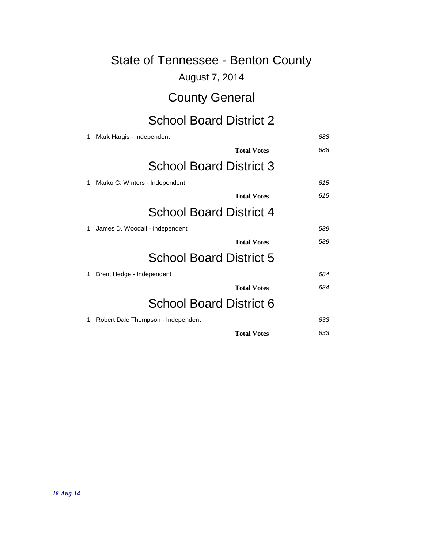| <b>State of Tennessee - Benton County</b> |                                    |     |  |
|-------------------------------------------|------------------------------------|-----|--|
|                                           | August 7, 2014                     |     |  |
|                                           | <b>County General</b>              |     |  |
|                                           | <b>School Board District 2</b>     |     |  |
| 1                                         | Mark Hargis - Independent          | 688 |  |
|                                           | <b>Total Votes</b>                 | 688 |  |
|                                           | <b>School Board District 3</b>     |     |  |
| 1                                         | Marko G. Winters - Independent     | 615 |  |
|                                           | <b>Total Votes</b>                 | 615 |  |
|                                           | <b>School Board District 4</b>     |     |  |
| 1                                         | James D. Woodall - Independent     | 589 |  |
|                                           | <b>Total Votes</b>                 | 589 |  |
|                                           | <b>School Board District 5</b>     |     |  |
| 1                                         | Brent Hedge - Independent          | 684 |  |
|                                           | <b>Total Votes</b>                 | 684 |  |
|                                           | <b>School Board District 6</b>     |     |  |
| 1                                         | Robert Dale Thompson - Independent | 633 |  |
|                                           | <b>Total Votes</b>                 | 633 |  |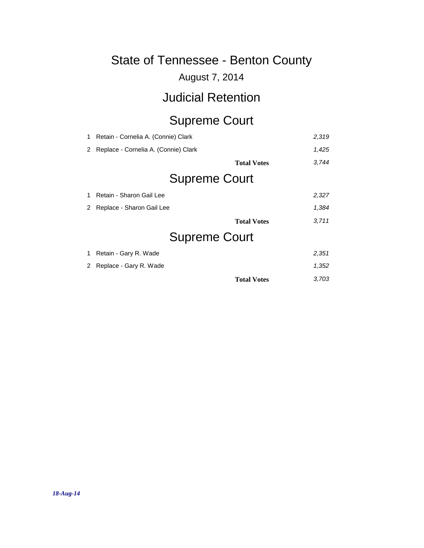#### August 7, 2014

### Judicial Retention

# Supreme Court

| 1 | Retain - Cornelia A. (Connie) Clark  |                    | 2,319 |  |
|---|--------------------------------------|--------------------|-------|--|
| 2 | Replace - Cornelia A. (Connie) Clark |                    | 1,425 |  |
|   |                                      | <b>Total Votes</b> | 3,744 |  |
|   | <b>Supreme Court</b>                 |                    |       |  |
| 1 | Retain - Sharon Gail Lee             |                    | 2,327 |  |
| 2 | Replace - Sharon Gail Lee            |                    | 1,384 |  |
|   |                                      | <b>Total Votes</b> | 3,711 |  |
|   | <b>Supreme Court</b>                 |                    |       |  |
| 1 | Retain - Gary R. Wade                |                    | 2,351 |  |
| 2 | Replace - Gary R. Wade               |                    | 1,352 |  |
|   |                                      | <b>Total Votes</b> | 3.703 |  |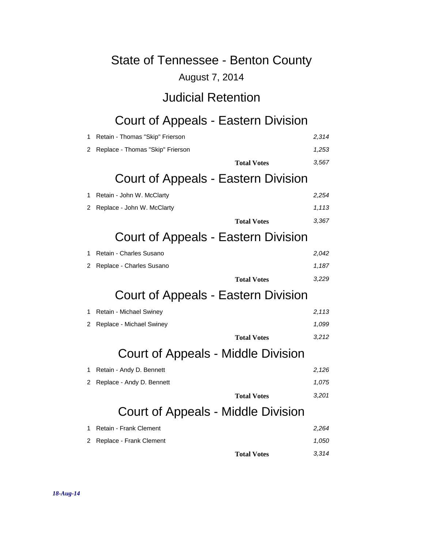#### August 7, 2014

#### Judicial Retention

# Court of Appeals - Eastern Division

| 1 | Retain - Thomas "Skip" Frierson            | 2,314 |
|---|--------------------------------------------|-------|
| 2 | Replace - Thomas "Skip" Frierson           | 1,253 |
|   | <b>Total Votes</b>                         | 3,567 |
|   | Court of Appeals - Eastern Division        |       |
| 1 | Retain - John W. McClarty                  | 2,254 |
| 2 | Replace - John W. McClarty                 | 1,113 |
|   | <b>Total Votes</b>                         | 3,367 |
|   | <b>Court of Appeals - Eastern Division</b> |       |
| 1 | Retain - Charles Susano                    | 2,042 |
| 2 | Replace - Charles Susano                   | 1,187 |
|   | <b>Total Votes</b>                         | 3,229 |
|   | Court of Appeals - Eastern Division        |       |
| 1 | Retain - Michael Swiney                    | 2,113 |
| 2 | Replace - Michael Swiney                   | 1,099 |
|   | <b>Total Votes</b>                         | 3,212 |
|   | <b>Court of Appeals - Middle Division</b>  |       |
| 1 | Retain - Andy D. Bennett                   | 2,126 |
| 2 | Replace - Andy D. Bennett                  | 1,075 |
|   | <b>Total Votes</b>                         | 3,201 |
|   | Court of Appeals - Middle Division         |       |
| 1 | Retain - Frank Clement                     | 2,264 |
| 2 | Replace - Frank Clement                    | 1,050 |
|   | <b>Total Votes</b>                         | 3,314 |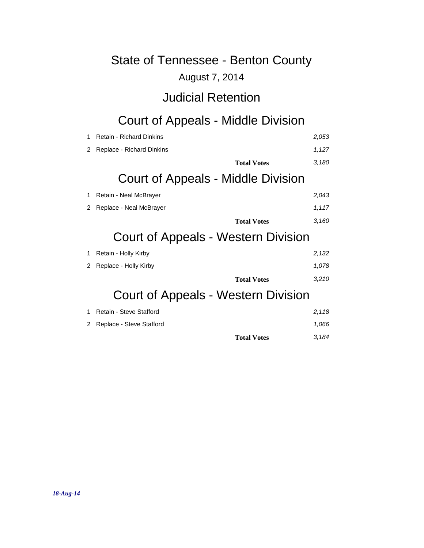#### August 7, 2014

### Judicial Retention

# Court of Appeals - Middle Division

| 1 | <b>Retain - Richard Dinkins</b>     |                                     | 2,053 |  |
|---|-------------------------------------|-------------------------------------|-------|--|
| 2 | Replace - Richard Dinkins           |                                     | 1,127 |  |
|   |                                     | <b>Total Votes</b>                  | 3,180 |  |
|   | Court of Appeals - Middle Division  |                                     |       |  |
| 1 | Retain - Neal McBrayer              |                                     | 2,043 |  |
| 2 | Replace - Neal McBrayer             |                                     | 1,117 |  |
|   |                                     | <b>Total Votes</b>                  | 3,160 |  |
|   | Court of Appeals - Western Division |                                     |       |  |
| 1 | Retain - Holly Kirby                |                                     | 2,132 |  |
| 2 | Replace - Holly Kirby               |                                     | 1,078 |  |
|   |                                     | <b>Total Votes</b>                  | 3,210 |  |
|   |                                     | Court of Appeals - Western Division |       |  |
|   |                                     |                                     |       |  |

|                                        | <b>Total Votes</b> | 3.184          |
|----------------------------------------|--------------------|----------------|
| 2 Replace - Steve Stafford             |                    | 1.066          |
| $\blacksquare$ Netall - Steve Stalloid |                    | 2. <i>I</i> IV |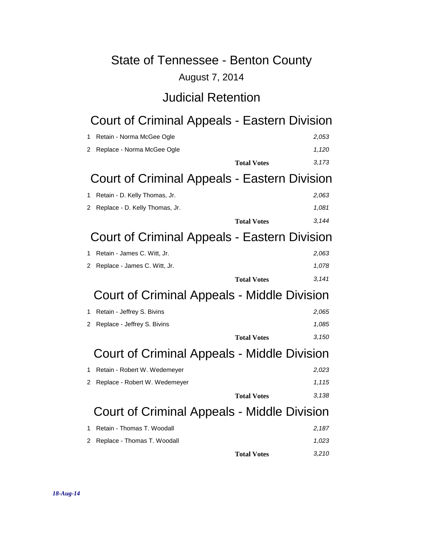#### August 7, 2014

#### Judicial Retention

# Court of Criminal Appeals - Eastern Division

| 1 | Retain - Norma McGee Ogle                    | 2,053 |  |
|---|----------------------------------------------|-------|--|
| 2 | Replace - Norma McGee Ogle                   | 1,120 |  |
|   | <b>Total Votes</b>                           | 3,173 |  |
|   | Court of Criminal Appeals - Eastern Division |       |  |
| 1 | Retain - D. Kelly Thomas, Jr.                | 2,063 |  |
| 2 | Replace - D. Kelly Thomas, Jr.               | 1,081 |  |
|   | <b>Total Votes</b>                           | 3,144 |  |
|   | Court of Criminal Appeals - Eastern Division |       |  |
| 1 | Retain - James C. Witt, Jr.                  | 2,063 |  |
| 2 | Replace - James C. Witt, Jr.                 | 1,078 |  |
|   | <b>Total Votes</b>                           | 3,141 |  |
|   | Court of Criminal Appeals - Middle Division  |       |  |
| 1 | Retain - Jeffrey S. Bivins                   | 2,065 |  |
| 2 | Replace - Jeffrey S. Bivins                  | 1,085 |  |
|   | <b>Total Votes</b>                           | 3,150 |  |
|   | Court of Criminal Appeals - Middle Division  |       |  |
| 1 | Retain - Robert W. Wedemeyer                 | 2,023 |  |
| 2 | Replace - Robert W. Wedemeyer                | 1,115 |  |
|   | <b>Total Votes</b>                           | 3,138 |  |
|   | Court of Criminal Appeals - Middle Division  |       |  |
| 1 | Retain - Thomas T. Woodall                   | 2,187 |  |
| 2 | Replace - Thomas T. Woodall                  | 1,023 |  |
|   | <b>Total Votes</b>                           | 3,210 |  |